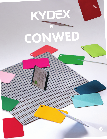# KYDEX CONWED

<u>က္ထိ</u>